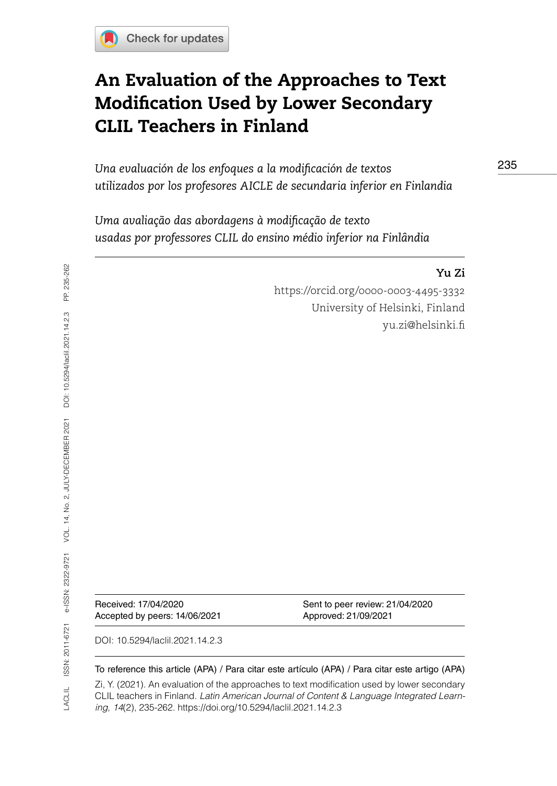# An Evaluation of the Approaches to Text Modification Used by Lower Secondary CLIL Teachers in Finland

*Una evaluación de los enfoques a la modificación de textos utilizados por los profesores AICLE de secundaria inferior en Finlandia*

*Uma avaliação das abordagens à modificação de texto usadas por professores CLIL do ensino médio inferior na Finlândia*

### **Yu Zi**

<https://orcid.org/0000-0003-4495-3332> University of Helsinki, Finland [yu.zi@helsinki.fi](mailto:yu.zi@helsinki.fi) 

Accepted by peers: 14/06/2021 Approved: 21/09/2021

Received: 17/04/2020 Sent to peer review: 21/04/2020

DOI: 10.5294/laclil.2021.14.2.3

### To reference this article (APA) / Para citar este artículo (APA) / Para citar este artigo (APA)

Zi, Y. (2021). An evaluation of the approaches to text modification used by lower secondary CLIL teachers in Finland. *Latin American Journal of Content & Language Integrated Learning*, *14*(2), 235-262. https://doi.org/10.5294/laclil.2021.14.2.3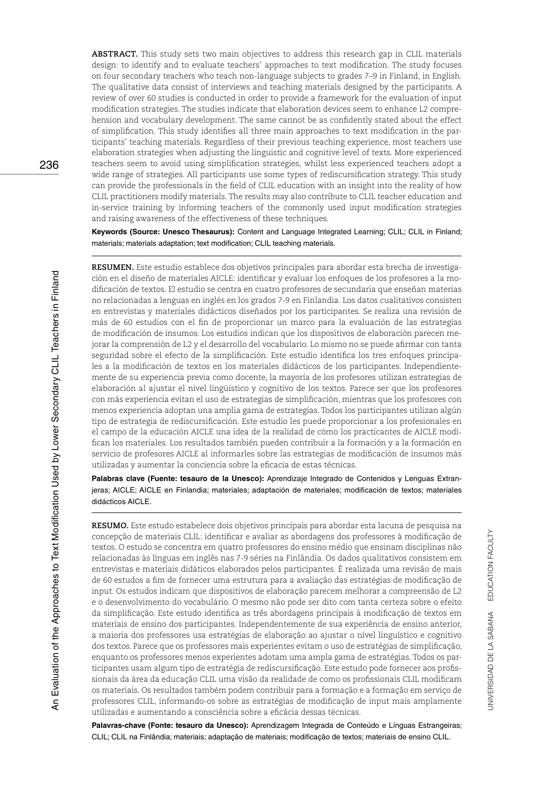**ABSTRACT.** This study sets two main objectives to address this research gap in CLIL materials design: to identify and to evaluate teachers' approaches to text modification. The study focuses on four secondary teachers who teach non-language subjects to grades 7–9 in Finland, in English. The qualitative data consist of interviews and teaching materials designed by the participants. A review of over 60 studies is conducted in order to provide a framework for the evaluation of input modification strategies. The studies indicate that elaboration devices seem to enhance L2 comprehension and vocabulary development. The same cannot be as confidently stated about the effect of simplification. This study identifies all three main approaches to text modification in the participants' teaching materials. Regardless of their previous teaching experience, most teachers use elaboration strategies when adjusting the linguistic and cognitive level of texts. More experienced teachers seem to avoid using simplification strategies, whilst less experienced teachers adopt a wide range of strategies. All participants use some types of rediscursification strategy. This study can provide the professionals in the field of CLIL education with an insight into the reality of how CLIL practitioners modify materials. The results may also contribute to CLIL teacher education and in-service training by informing teachers of the commonly used input modification strategies and raising awareness of the effectiveness of these techniques.

**Keywords (Source: Unesco Thesaurus):** Content and Language Integrated Learning; CLIL; CLIL in Finland; materials; materials adaptation; text modification; CLIL teaching materials.

**RESUMEN.** Este estudio establece dos objetivos principales para abordar esta brecha de investigación en el diseño de materiales AICLE: identificar y evaluar los enfoques de los profesores a la modificación de textos. El estudio se centra en cuatro profesores de secundaria que enseñan materias no relacionadas a lenguas en inglés en los grados 7-9 en Finlandia. Los datos cualitativos consisten en entrevistas y materiales didácticos diseñados por los participantes. Se realiza una revisión de más de 60 estudios con el fin de proporcionar un marco para la evaluación de las estrategias de modificación de insumos. Los estudios indican que los dispositivos de elaboración parecen mejorar la comprensión de L2 y el desarrollo del vocabulario. Lo mismo no se puede afirmar con tanta seguridad sobre el efecto de la simplificación. Este estudio identifica los tres enfoques principales a la modificación de textos en los materiales didácticos de los participantes. Independientemente de su experiencia previa como docente, la mayoría de los profesores utilizan estrategias de elaboración al ajustar el nivel lingüístico y cognitivo de los textos. Parece ser que los profesores con más experiencia evitan el uso de estrategias de simplificación, mientras que los profesores con menos experiencia adoptan una amplia gama de estrategias. Todos los participantes utilizan algún tipo de estrategia de rediscursificación. Este estudio les puede proporcionar a los profesionales en el campo de la educación AICLE una idea de la realidad de cómo los practicantes de AICLE modifican los materiales. Los resultados también pueden contribuir a la formación y a la formación en servicio de profesores AICLE al informarles sobre las estrategias de modificación de insumos más utilizadas y aumentar la conciencia sobre la eficacia de estas técnicas.

**Palabras clave (Fuente: tesauro de la Unesco):** Aprendizaje Integrado de Contenidos y Lenguas Extranjeras; AICLE; AICLE en Finlandia; materiales; adaptación de materiales; modificación de textos; materiales didácticos AICLE.

**RESUMO.** Este estudo estabelece dois objetivos principais para abordar esta lacuna de pesquisa na concepção de materiais CLIL: identificar e avaliar as abordagens dos professores à modificação de textos. O estudo se concentra em quatro professores do ensino médio que ensinam disciplinas não relacionadas às línguas em inglês nas 7-9 séries na Finlândia. Os dados qualitativos consistem em entrevistas e materiais didáticos elaborados pelos participantes. É realizada uma revisão de mais de 60 estudos a fim de fornecer uma estrutura para a avaliação das estratégias de modificação de input. Os estudos indicam que dispositivos de elaboração parecem melhorar a compreensão de L2 e o desenvolvimento do vocabulário. O mesmo não pode ser dito com tanta certeza sobre o efeito da simplificação. Este estudo identifica as três abordagens principais à modificação de textos em materiais de ensino dos participantes. Independentemente de sua experiência de ensino anterior, a maioria dos professores usa estratégias de elaboração ao ajustar o nível linguístico e cognitivo dos textos. Parece que os professores mais experientes evitam o uso de estratégias de simplificação, enquanto os professores menos experientes adotam uma ampla gama de estratégias. Todos os participantes usam algum tipo de estratégia de rediscursificação. Este estudo pode fornecer aos profissionais da área da educação CLIL uma visão da realidade de como os profissionais CLIL modificam os materiais. Os resultados também podem contribuir para a formação e a formação em serviço de professores CLIL, informando-os sobre as estratégias de modificação de input mais amplamente utilizadas e aumentando a consciência sobre a eficácia dessas técnicas.

**Palavras-chave (Fonte: tesauro da Unesco):** Aprendizagem Integrada de Conteúdo e Línguas Estrangeiras; CLIL; CLIL na Finlândia; materiais; adaptação de materiais; modificação de textos; materiais de ensino CLIL.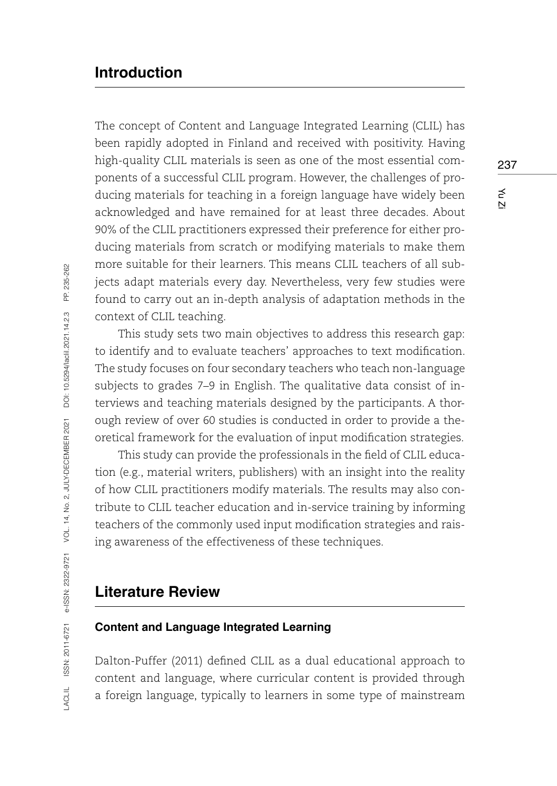## **Introduction**

The concept of Content and Language Integrated Learning (CLIL) has been rapidly adopted in Finland and received with positivity. Having high-quality CLIL materials is seen as one of the most essential components of a successful CLIL program. However, the challenges of producing materials for teaching in a foreign language have widely been acknowledged and have remained for at least three decades. About 90% of the CLIL practitioners expressed their preference for either producing materials from scratch or modifying materials to make them more suitable for their learners. This means CLIL teachers of all subjects adapt materials every day. Nevertheless, very few studies were found to carry out an in-depth analysis of adaptation methods in the context of CLIL teaching.

This study sets two main objectives to address this research gap: to identify and to evaluate teachers' approaches to text modification. The study focuses on four secondary teachers who teach non-language subjects to grades 7–9 in English. The qualitative data consist of interviews and teaching materials designed by the participants. A thorough review of over 60 studies is conducted in order to provide a theoretical framework for the evaluation of input modification strategies.

This study can provide the professionals in the field of CLIL education (e.g., material writers, publishers) with an insight into the reality of how CLIL practitioners modify materials. The results may also contribute to CLIL teacher education and in-service training by informing teachers of the commonly used input modification strategies and raising awareness of the effectiveness of these techniques.

## **Literature Review**

### **Content and Language Integrated Learning**

Dalton-Puffer (2011) defined CLIL as a dual educational approach to content and language, where curricular content is provided through a foreign language, typically to learners in some type of mainstream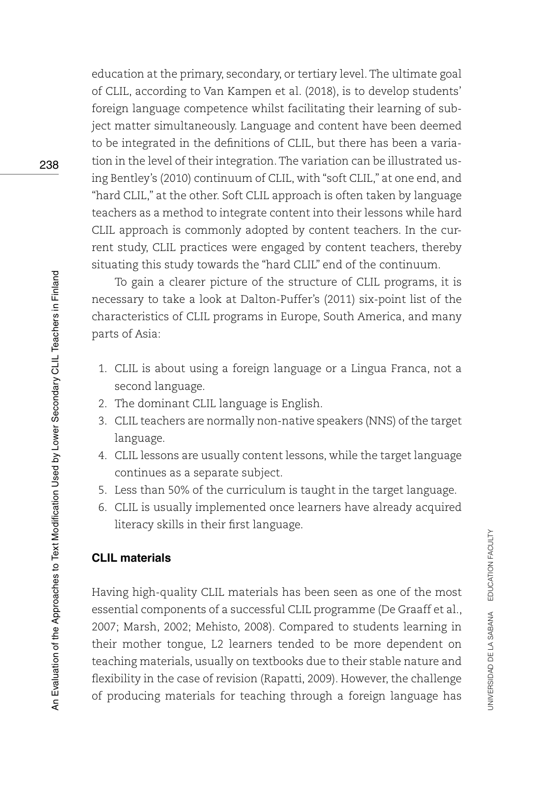education at the primary, secondary, or tertiary level. The ultimate goal of CLIL, according to Van Kampen et al. (2018), is to develop students' foreign language competence whilst facilitating their learning of subject matter simultaneously. Language and content have been deemed to be integrated in the definitions of CLIL, but there has been a variation in the level of their integration. The variation can be illustrated using Bentley's (2010) continuum of CLIL, with "soft CLIL," at one end, and "hard CLIL," at the other. Soft CLIL approach is often taken by language teachers as a method to integrate content into their lessons while hard CLIL approach is commonly adopted by content teachers. In the current study, CLIL practices were engaged by content teachers, thereby situating this study towards the "hard CLIL" end of the continuum.

To gain a clearer picture of the structure of CLIL programs, it is necessary to take a look at Dalton-Puffer's (2011) six-point list of the characteristics of CLIL programs in Europe, South America, and many parts of Asia:

- 1. CLIL is about using a foreign language or a Lingua Franca, not a second language.
- 2. The dominant CLIL language is English.
- 3. CLIL teachers are normally non-native speakers (NNS) of the target language.
- 4. CLIL lessons are usually content lessons, while the target language continues as a separate subject.
- 5. Less than 50% of the curriculum is taught in the target language.
- 6. CLIL is usually implemented once learners have already acquired literacy skills in their first language.

### **CLIL materials**

Having high-quality CLIL materials has been seen as one of the most essential components of a successful CLIL programme (De Graaff et al., 2007; Marsh, 2002; Mehisto, 2008). Compared to students learning in their mother tongue, L2 learners tended to be more dependent on teaching materials, usually on textbooks due to their stable nature and flexibility in the case of revision (Rapatti, 2009). However, the challenge of producing materials for teaching through a foreign language has

UNIVERSIDAD DE LA SABANA EDUCATION FACULTY

JNIVERSIDAD DE LA SABANA EDUCATION FACULTY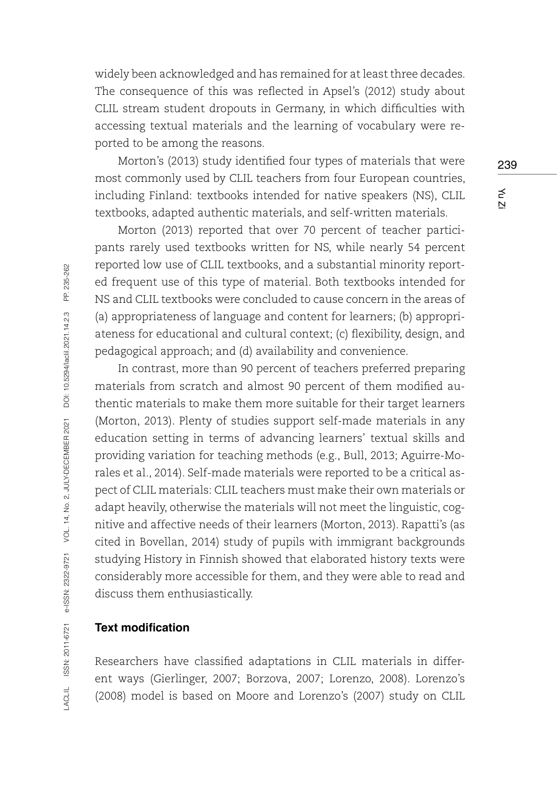widely been acknowledged and has remained for at least three decades. The consequence of this was reflected in Apsel's (2012) study about CLIL stream student dropouts in Germany, in which difficulties with accessing textual materials and the learning of vocabulary were reported to be among the reasons.

Morton's (2013) study identified four types of materials that were most commonly used by CLIL teachers from four European countries, including Finland: textbooks intended for native speakers (NS), CLIL textbooks, adapted authentic materials, and self-written materials.

Morton (2013) reported that over 70 percent of teacher participants rarely used textbooks written for NS, while nearly 54 percent reported low use of CLIL textbooks, and a substantial minority reported frequent use of this type of material. Both textbooks intended for NS and CLIL textbooks were concluded to cause concern in the areas of (a) appropriateness of language and content for learners; (b) appropriateness for educational and cultural context; (c) flexibility, design, and pedagogical approach; and (d) availability and convenience.

In contrast, more than 90 percent of teachers preferred preparing materials from scratch and almost 90 percent of them modified authentic materials to make them more suitable for their target learners (Morton, 2013). Plenty of studies support self-made materials in any education setting in terms of advancing learners' textual skills and providing variation for teaching methods (e.g., Bull, 2013; Aguirre-Morales et al., 2014). Self-made materials were reported to be a critical aspect of CLIL materials: CLIL teachers must make their own materials or adapt heavily, otherwise the materials will not meet the linguistic, cognitive and affective needs of their learners (Morton, 2013). Rapatti's (as cited in Bovellan, 2014) study of pupils with immigrant backgrounds studying History in Finnish showed that elaborated history texts were considerably more accessible for them, and they were able to read and discuss them enthusiastically.

### **Text modification**

Researchers have classified adaptations in CLIL materials in different ways (Gierlinger, 2007; Borzova, 2007; Lorenzo, 2008). Lorenzo's (2008) model is based on Moore and Lorenzo's (2007) study on CLIL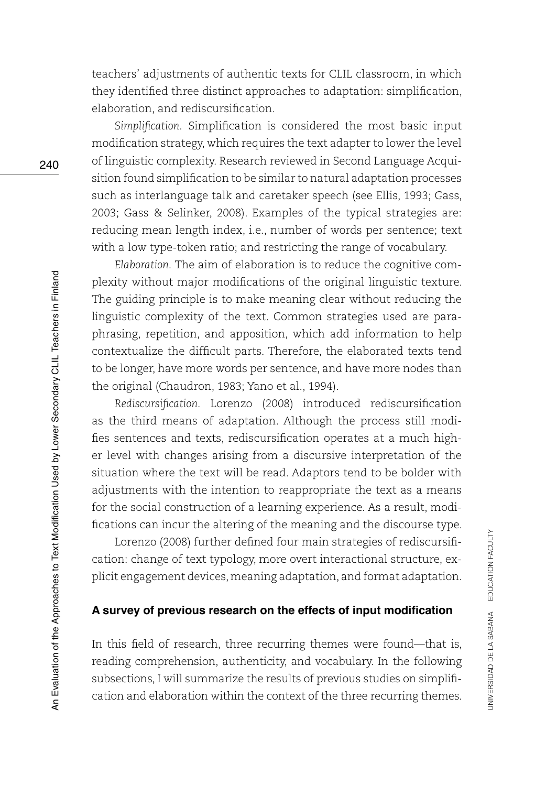teachers' adjustments of authentic texts for CLIL classroom, in which they identified three distinct approaches to adaptation: simplification, elaboration, and rediscursification.

*Simplification.* Simplification is considered the most basic input modification strategy, which requires the text adapter to lower the level of linguistic complexity. Research reviewed in Second Language Acquisition found simplification to be similar to natural adaptation processes such as interlanguage talk and caretaker speech (see Ellis, 1993; Gass, 2003; Gass & Selinker, 2008). Examples of the typical strategies are: reducing mean length index, i.e., number of words per sentence; text with a low type-token ratio; and restricting the range of vocabulary.

*Elaboration.* The aim of elaboration is to reduce the cognitive complexity without major modifications of the original linguistic texture. The guiding principle is to make meaning clear without reducing the linguistic complexity of the text. Common strategies used are paraphrasing, repetition, and apposition, which add information to help contextualize the difficult parts. Therefore, the elaborated texts tend to be longer, have more words per sentence, and have more nodes than the original (Chaudron, 1983; Yano et al., 1994).

*Rediscursification.* Lorenzo (2008) introduced rediscursification as the third means of adaptation. Although the process still modifies sentences and texts, rediscursification operates at a much higher level with changes arising from a discursive interpretation of the situation where the text will be read. Adaptors tend to be bolder with adjustments with the intention to reappropriate the text as a means for the social construction of a learning experience. As a result, modifications can incur the altering of the meaning and the discourse type.

Lorenzo (2008) further defined four main strategies of rediscursification: change of text typology, more overt interactional structure, explicit engagement devices, meaning adaptation, and format adaptation.

### **A survey of previous research on the effects of input modification**

In this field of research, three recurring themes were found—that is, reading comprehension, authenticity, and vocabulary. In the following subsections, I will summarize the results of previous studies on simplification and elaboration within the context of the three recurring themes.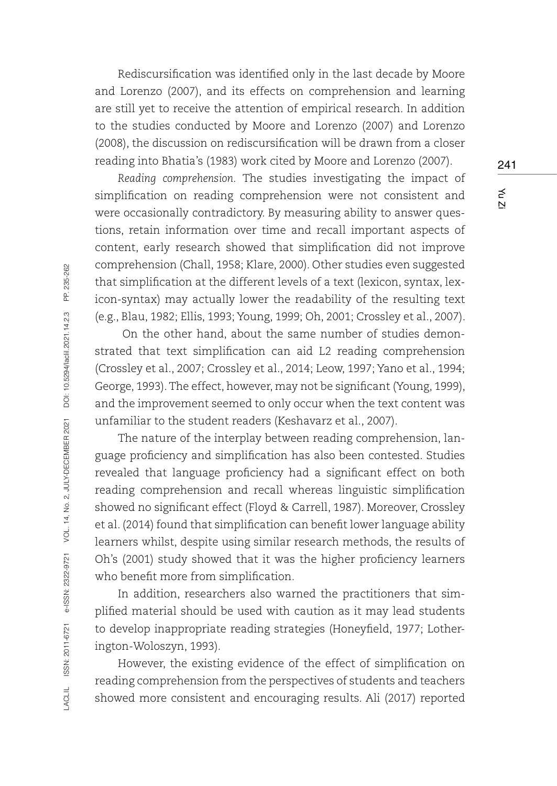Rediscursification was identified only in the last decade by Moore and Lorenzo (2007), and its effects on comprehension and learning are still yet to receive the attention of empirical research. In addition to the studies conducted by Moore and Lorenzo (2007) and Lorenzo (2008), the discussion on rediscursification will be drawn from a closer reading into Bhatia's (1983) work cited by Moore and Lorenzo (2007).

*Reading comprehension.* The studies investigating the impact of simplification on reading comprehension were not consistent and were occasionally contradictory. By measuring ability to answer questions, retain information over time and recall important aspects of content, early research showed that simplification did not improve comprehension (Chall, 1958; Klare, 2000). Other studies even suggested that simplification at the different levels of a text (lexicon, syntax, lexicon-syntax) may actually lower the readability of the resulting text (e.g., Blau, 1982; Ellis, 1993; Young, 1999; Oh, 2001; Crossley et al., 2007).

 On the other hand, about the same number of studies demonstrated that text simplification can aid L2 reading comprehension (Crossley et al., 2007; Crossley et al., 2014; Leow, 1997; Yano et al., 1994; George, 1993). The effect, however, may not be significant (Young, 1999), and the improvement seemed to only occur when the text content was unfamiliar to the student readers (Keshavarz et al., 2007).

The nature of the interplay between reading comprehension, language proficiency and simplification has also been contested. Studies revealed that language proficiency had a significant effect on both reading comprehension and recall whereas linguistic simplification showed no significant effect (Floyd & Carrell, 1987). Moreover, Crossley et al. (2014) found that simplification can benefit lower language ability learners whilst, despite using similar research methods, the results of Oh's (2001) study showed that it was the higher proficiency learners who benefit more from simplification.

In addition, researchers also warned the practitioners that simplified material should be used with caution as it may lead students to develop inappropriate reading strategies (Honeyfield, 1977; Lotherington-Woloszyn, 1993).

However, the existing evidence of the effect of simplification on reading comprehension from the perspectives of students and teachers showed more consistent and encouraging results. Ali (2017) reported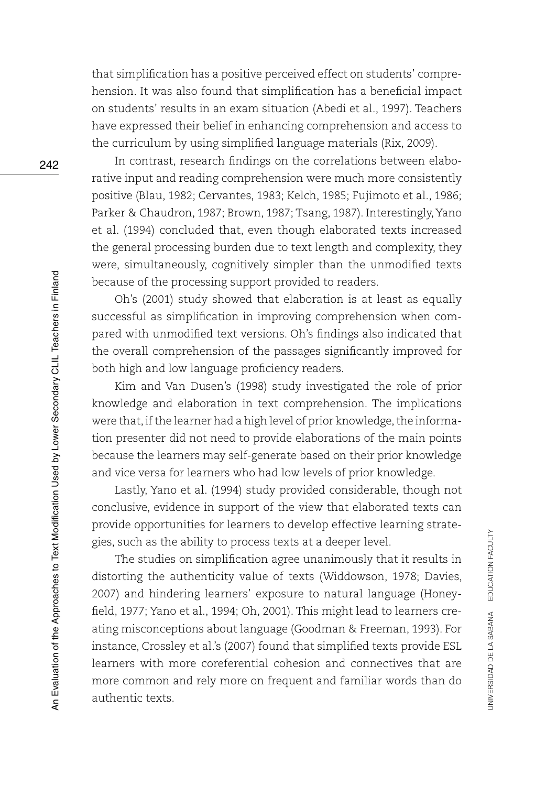that simplification has a positive perceived effect on students' comprehension. It was also found that simplification has a beneficial impact on students' results in an exam situation (Abedi et al., 1997). Teachers have expressed their belief in enhancing comprehension and access to the curriculum by using simplified language materials (Rix, 2009).

In contrast, research findings on the correlations between elaborative input and reading comprehension were much more consistently positive (Blau, 1982; Cervantes, 1983; Kelch, 1985; Fujimoto et al., 1986; Parker & Chaudron, 1987; Brown, 1987; Tsang, 1987). Interestingly, Yano et al. (1994) concluded that, even though elaborated texts increased the general processing burden due to text length and complexity, they were, simultaneously, cognitively simpler than the unmodified texts because of the processing support provided to readers.

Oh's (2001) study showed that elaboration is at least as equally successful as simplification in improving comprehension when compared with unmodified text versions. Oh's findings also indicated that the overall comprehension of the passages significantly improved for both high and low language proficiency readers.

Kim and Van Dusen's (1998) study investigated the role of prior knowledge and elaboration in text comprehension. The implications were that, if the learner had a high level of prior knowledge, the information presenter did not need to provide elaborations of the main points because the learners may self-generate based on their prior knowledge and vice versa for learners who had low levels of prior knowledge.

Lastly, Yano et al. (1994) study provided considerable, though not conclusive, evidence in support of the view that elaborated texts can provide opportunities for learners to develop effective learning strategies, such as the ability to process texts at a deeper level.

The studies on simplification agree unanimously that it results in distorting the authenticity value of texts (Widdowson, 1978; Davies, 2007) and hindering learners' exposure to natural language (Honeyfield, 1977; Yano et al., 1994; Oh, 2001). This might lead to learners creating misconceptions about language (Goodman & Freeman, 1993). For instance, Crossley et al.'s (2007) found that simplified texts provide ESL learners with more coreferential cohesion and connectives that are more common and rely more on frequent and familiar words than do authentic texts.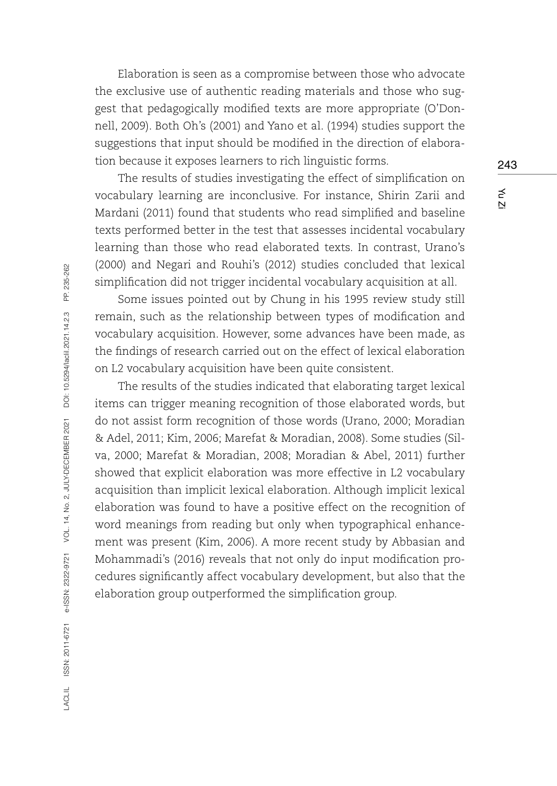Elaboration is seen as a compromise between those who advocate the exclusive use of authentic reading materials and those who suggest that pedagogically modified texts are more appropriate (O'Donnell, 2009). Both Oh's (2001) and Yano et al. (1994) studies support the suggestions that input should be modified in the direction of elaboration because it exposes learners to rich linguistic forms.

The results of studies investigating the effect of simplification on vocabulary learning are inconclusive. For instance, Shirin Zarii and Mardani (2011) found that students who read simplified and baseline texts performed better in the test that assesses incidental vocabulary learning than those who read elaborated texts. In contrast, Urano's (2000) and Negari and Rouhi's (2012) studies concluded that lexical simplification did not trigger incidental vocabulary acquisition at all.

Some issues pointed out by Chung in his 1995 review study still remain, such as the relationship between types of modification and vocabulary acquisition. However, some advances have been made, as the findings of research carried out on the effect of lexical elaboration on L2 vocabulary acquisition have been quite consistent.

The results of the studies indicated that elaborating target lexical items can trigger meaning recognition of those elaborated words, but do not assist form recognition of those words (Urano, 2000; Moradian & Adel, 2011; Kim, 2006; Marefat & Moradian, 2008). Some studies (Silva, 2000; Marefat & Moradian, 2008; Moradian & Abel, 2011) further showed that explicit elaboration was more effective in L2 vocabulary acquisition than implicit lexical elaboration. Although implicit lexical elaboration was found to have a positive effect on the recognition of word meanings from reading but only when typographical enhancement was present (Kim, 2006). A more recent study by Abbasian and Mohammadi's (2016) reveals that not only do input modification procedures significantly affect vocabulary development, but also that the elaboration group outperformed the simplification group.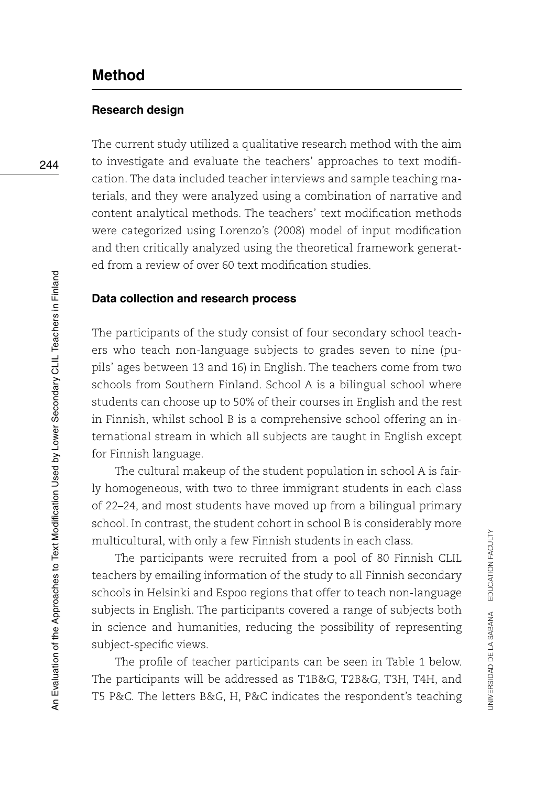## **Method**

### **Research design**

The current study utilized a qualitative research method with the aim to investigate and evaluate the teachers' approaches to text modification. The data included teacher interviews and sample teaching materials, and they were analyzed using a combination of narrative and content analytical methods. The teachers' text modification methods were categorized using Lorenzo's (2008) model of input modification and then critically analyzed using the theoretical framework generated from a review of over 60 text modification studies.

### **Data collection and research process**

The participants of the study consist of four secondary school teachers who teach non-language subjects to grades seven to nine (pupils' ages between 13 and 16) in English. The teachers come from two schools from Southern Finland. School A is a bilingual school where students can choose up to 50% of their courses in English and the rest in Finnish, whilst school B is a comprehensive school offering an international stream in which all subjects are taught in English except for Finnish language.

The cultural makeup of the student population in school A is fairly homogeneous, with two to three immigrant students in each class of 22–24, and most students have moved up from a bilingual primary school. In contrast, the student cohort in school B is considerably more multicultural, with only a few Finnish students in each class.

The participants were recruited from a pool of 80 Finnish CLIL teachers by emailing information of the study to all Finnish secondary schools in Helsinki and Espoo regions that offer to teach non-language subjects in English. The participants covered a range of subjects both in science and humanities, reducing the possibility of representing subject-specific views.

The profile of teacher participants can be seen in Table 1 below. The participants will be addressed as T1B&G, T2B&G, T3H, T4H, and T5 P&C. The letters B&G, H, P&C indicates the respondent's teaching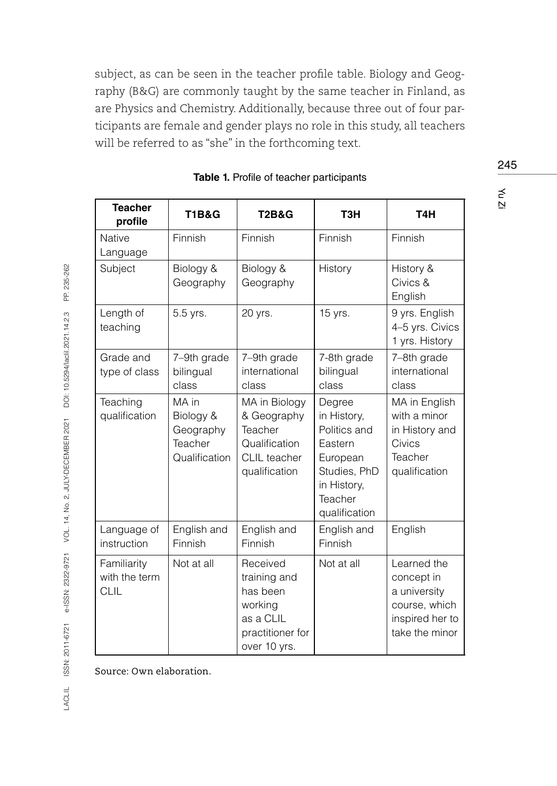subject, as can be seen in the teacher profile table. Biology and Geography (B&G) are commonly taught by the same teacher in Finland, as are Physics and Chemistry. Additionally, because three out of four participants are female and gender plays no role in this study, all teachers will be referred to as "she" in the forthcoming text.

| <b>Teacher</b><br>profile                   | <b>T1B&amp;G</b>                                            | <b>T2B&amp;G</b>                                                                                 | T <sub>3</sub> H                                                                                                        | T <sub>4</sub> H                                                                                |
|---------------------------------------------|-------------------------------------------------------------|--------------------------------------------------------------------------------------------------|-------------------------------------------------------------------------------------------------------------------------|-------------------------------------------------------------------------------------------------|
| <b>Native</b><br>Language                   | Finnish                                                     | Finnish                                                                                          | Finnish                                                                                                                 | Finnish                                                                                         |
| Subject                                     | Biology &<br>Geography                                      | Biology &<br>Geography                                                                           | History                                                                                                                 | History &<br>Civics &<br>English                                                                |
| Length of<br>teaching                       | 5.5 yrs.                                                    | 20 yrs.                                                                                          | 15 yrs.                                                                                                                 | 9 yrs. English<br>4-5 yrs. Civics<br>1 yrs. History                                             |
| Grade and<br>type of class                  | 7-9th grade<br>bilingual<br>class                           | 7-9th grade<br>international<br>class                                                            | 7-8th grade<br>bilingual<br>class                                                                                       | 7-8th grade<br>international<br>class                                                           |
| Teaching<br>qualification                   | MA in<br>Biology &<br>Geography<br>Teacher<br>Qualification | MA in Biology<br>& Geography<br>Teacher<br>Qualification<br>CLIL teacher<br>qualification        | Degree<br>in History,<br>Politics and<br>Eastern<br>European<br>Studies, PhD<br>in History,<br>Teacher<br>qualification | MA in English<br>with a minor<br>in History and<br>Civics<br>Teacher<br>qualification           |
| Language of<br>instruction                  | English and<br>Finnish                                      | English and<br>Finnish                                                                           | English and<br>Finnish                                                                                                  | English                                                                                         |
| Familiarity<br>with the term<br><b>CLIL</b> | Not at all                                                  | Received<br>training and<br>has been<br>working<br>as a CLIL<br>practitioner for<br>over 10 yrs. | Not at all                                                                                                              | Learned the<br>concept in<br>a university<br>course, which<br>inspired her to<br>take the minor |

|  |  |  | Table 1. Profile of teacher participants |
|--|--|--|------------------------------------------|
|--|--|--|------------------------------------------|

Source: Own elaboration.

245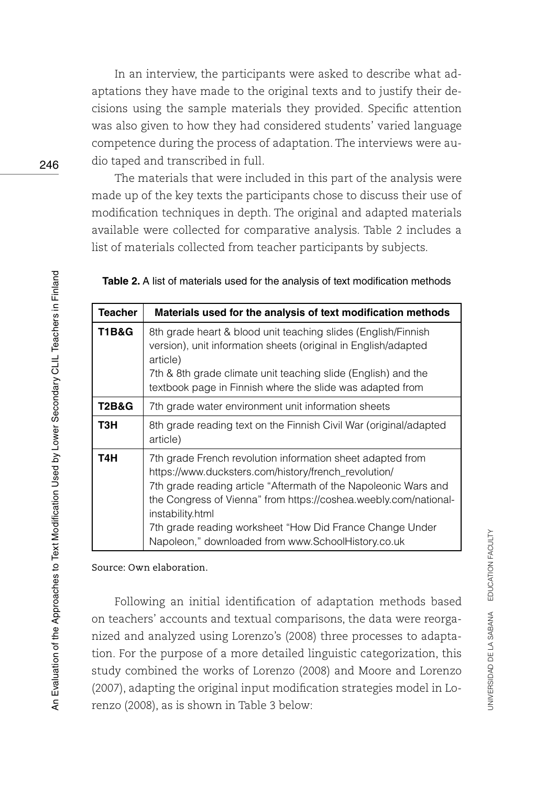In an interview, the participants were asked to describe what adaptations they have made to the original texts and to justify their decisions using the sample materials they provided. Specific attention was also given to how they had considered students' varied language competence during the process of adaptation. The interviews were audio taped and transcribed in full.

The materials that were included in this part of the analysis were made up of the key texts the participants chose to discuss their use of modification techniques in depth. The original and adapted materials available were collected for comparative analysis. Table 2 includes a list of materials collected from teacher participants by subjects.

| Teacher | Materials used for the analysis of text modification methods                                                                                                                                                                                                                                                                                                                                    |
|---------|-------------------------------------------------------------------------------------------------------------------------------------------------------------------------------------------------------------------------------------------------------------------------------------------------------------------------------------------------------------------------------------------------|
| T1B&G   | 8th grade heart & blood unit teaching slides (English/Finnish<br>version), unit information sheets (original in English/adapted<br>article)<br>7th & 8th grade climate unit teaching slide (English) and the<br>textbook page in Finnish where the slide was adapted from                                                                                                                       |
| T2B&G   | 7th grade water environment unit information sheets                                                                                                                                                                                                                                                                                                                                             |
| ТЗН     | 8th grade reading text on the Finnish Civil War (original/adapted<br>article)                                                                                                                                                                                                                                                                                                                   |
| T4H     | 7th grade French revolution information sheet adapted from<br>https://www.ducksters.com/history/french_revolution/<br>7th grade reading article "Aftermath of the Napoleonic Wars and<br>the Congress of Vienna" from https://coshea.weebly.com/national-<br>instability.html<br>7th grade reading worksheet "How Did France Change Under<br>Napoleon," downloaded from www.SchoolHistory.co.uk |

Source: Own elaboration.

Following an initial identification of adaptation methods based on teachers' accounts and textual comparisons, the data were reorganized and analyzed using Lorenzo's (2008) three processes to adaptation. For the purpose of a more detailed linguistic categorization, this study combined the works of Lorenzo (2008) and Moore and Lorenzo (2007), adapting the original input modification strategies model in Lorenzo (2008), as is shown in Table 3 below: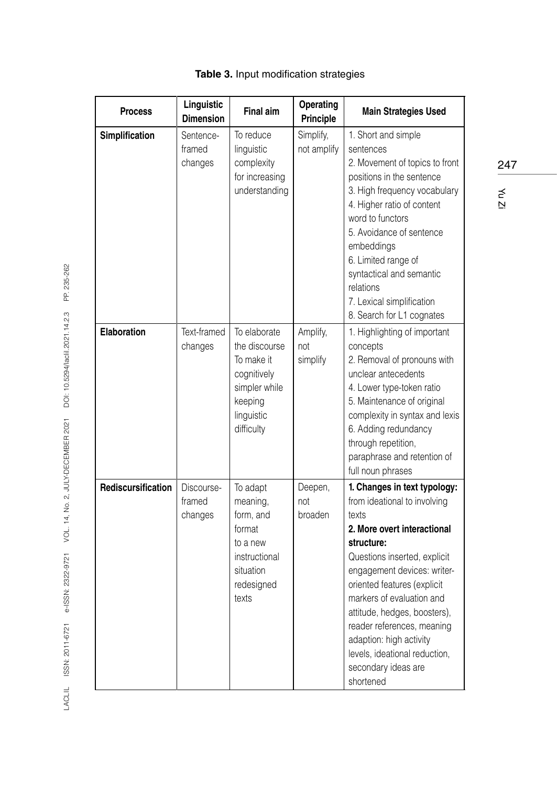| <b>Process</b>     | Linguistic<br><b>Dimension</b>  | <b>Final aim</b>                                                                                                   | Operating<br>Principle      | <b>Main Strategies Used</b>                                                                                                                                                                                                                                                                                                                                                                                 |
|--------------------|---------------------------------|--------------------------------------------------------------------------------------------------------------------|-----------------------------|-------------------------------------------------------------------------------------------------------------------------------------------------------------------------------------------------------------------------------------------------------------------------------------------------------------------------------------------------------------------------------------------------------------|
| Simplification     | Sentence-<br>framed<br>changes  | To reduce<br>linquistic<br>complexity<br>for increasing<br>understanding                                           | Simplify,<br>not amplify    | 1. Short and simple<br>sentences<br>2. Movement of topics to front<br>positions in the sentence<br>3. High frequency vocabulary<br>4. Higher ratio of content<br>word to functors<br>5. Avoidance of sentence<br>embeddings<br>6. Limited range of<br>syntactical and semantic<br>relations<br>7. Lexical simplification<br>8. Search for L1 cognates                                                       |
| Elaboration        | Text-framed<br>changes          | To elaborate<br>the discourse<br>To make it<br>cognitively<br>simpler while<br>keeping<br>linguistic<br>difficulty | Amplify,<br>not<br>simplify | 1. Highlighting of important<br>concepts<br>2. Removal of pronouns with<br>unclear antecedents<br>4. Lower type-token ratio<br>5. Maintenance of original<br>complexity in syntax and lexis<br>6. Adding redundancy<br>through repetition,<br>paraphrase and retention of<br>full noun phrases                                                                                                              |
| Rediscursification | Discourse-<br>framed<br>changes | To adapt<br>meaning,<br>form, and<br>format<br>to a new<br>instructional<br>situation<br>redesigned<br>texts       | Deepen,<br>not<br>broaden   | 1. Changes in text typology:<br>from ideational to involving<br>texts<br>2. More overt interactional<br>structure:<br>Questions inserted, explicit<br>engagement devices: writer-<br>oriented features (explicit<br>markers of evaluation and<br>attitude, hedges, boosters),<br>reader references, meaning<br>adaption: high activity<br>levels, ideational reduction,<br>secondary ideas are<br>shortened |

## **Table 3.** Input modification strategies

LACLIL ISSN: 2011-6721 e-ISSN: 2322-9721 VOL. 14, No. 2, JULY-DECEMBER 2021 DOI: 10.5294/lacili.2021.14.2.3 PP. 235-262 LACLIL ISSN: 2011-6721 e-ISSN: 2322-9721 VOL. 14, No. 2, JULY-DECEMBER 2021 DOI: 10.5294/laclil.2021.14.2.3 PP. 235-262

247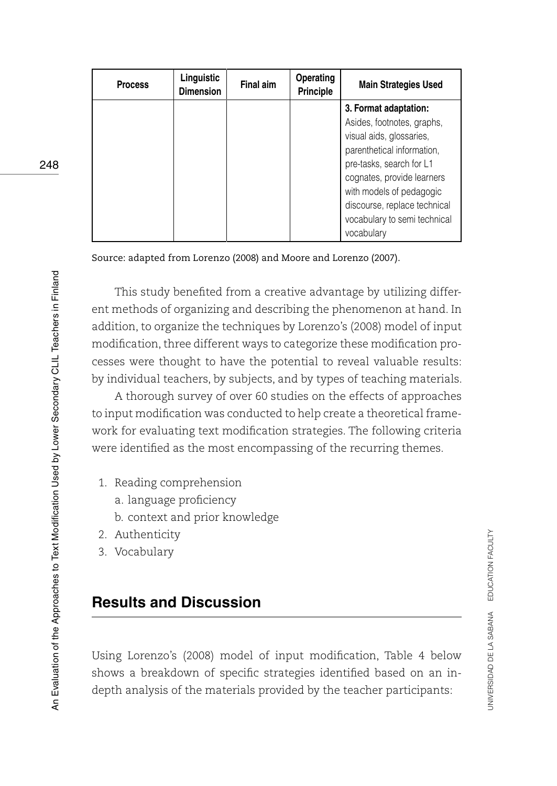| <b>Process</b> | Linguistic<br><b>Dimension</b> | Final aim | <b>Operating</b><br><b>Principle</b> | <b>Main Strategies Used</b>                                                                                                                                                                                                                                                       |
|----------------|--------------------------------|-----------|--------------------------------------|-----------------------------------------------------------------------------------------------------------------------------------------------------------------------------------------------------------------------------------------------------------------------------------|
|                |                                |           |                                      | 3. Format adaptation:<br>Asides, footnotes, graphs,<br>visual aids, glossaries,<br>parenthetical information,<br>pre-tasks, search for L1<br>cognates, provide learners<br>with models of pedagogic<br>discourse, replace technical<br>vocabulary to semi technical<br>vocabulary |

Source: adapted from Lorenzo (2008) and Moore and Lorenzo (2007).

This study benefited from a creative advantage by utilizing different methods of organizing and describing the phenomenon at hand. In addition, to organize the techniques by Lorenzo's (2008) model of input modification, three different ways to categorize these modification processes were thought to have the potential to reveal valuable results: by individual teachers, by subjects, and by types of teaching materials.

A thorough survey of over 60 studies on the effects of approaches to input modification was conducted to help create a theoretical framework for evaluating text modification strategies. The following criteria were identified as the most encompassing of the recurring themes.

- 1. Reading comprehension
	- a. language proficiency
	- b. context and prior knowledge
- 2. Authenticity
- 3. Vocabulary

## **Results and Discussion**

Using Lorenzo's (2008) model of input modification, Table 4 below shows a breakdown of specific strategies identified based on an indepth analysis of the materials provided by the teacher participants: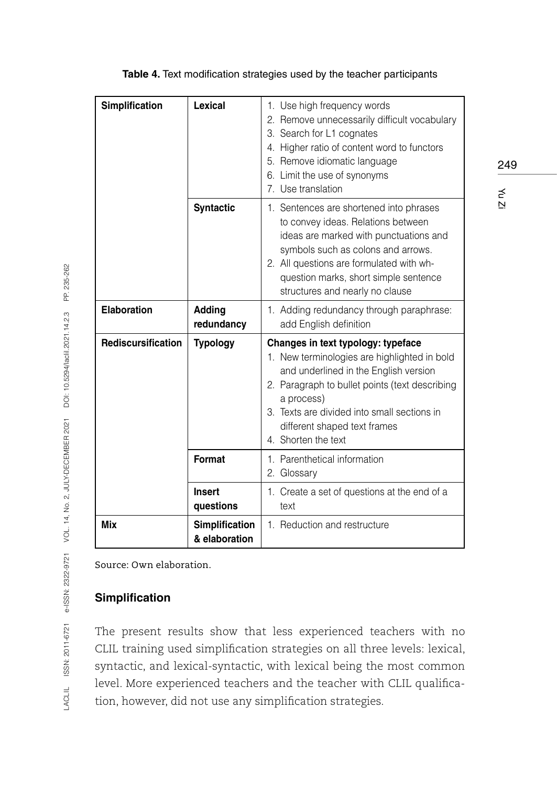| Simplification     | <b>Lexical</b>                         | 1. Use high frequency words<br>2. Remove unnecessarily difficult vocabulary<br>3. Search for L1 cognates<br>4. Higher ratio of content word to functors<br>5. Remove idiomatic language<br>6. Limit the use of synonyms<br>7. Use translation                                                     |
|--------------------|----------------------------------------|---------------------------------------------------------------------------------------------------------------------------------------------------------------------------------------------------------------------------------------------------------------------------------------------------|
|                    | <b>Syntactic</b>                       | 1. Sentences are shortened into phrases<br>to convey ideas. Relations between<br>ideas are marked with punctuations and<br>symbols such as colons and arrows.<br>2. All questions are formulated with wh-<br>question marks, short simple sentence<br>structures and nearly no clause             |
| Elaboration        | Adding<br>redundancy                   | 1. Adding redundancy through paraphrase:<br>add English definition                                                                                                                                                                                                                                |
| Rediscursification | <b>Typology</b>                        | Changes in text typology: typeface<br>1. New terminologies are highlighted in bold<br>and underlined in the English version<br>2. Paragraph to bullet points (text describing<br>a process)<br>3. Texts are divided into small sections in<br>different shaped text frames<br>4. Shorten the text |
|                    | Format                                 | 1. Parenthetical information<br>2. Glossary                                                                                                                                                                                                                                                       |
|                    | <b>Insert</b><br>questions             | 1. Create a set of questions at the end of a<br>text                                                                                                                                                                                                                                              |
| Mix                | <b>Simplification</b><br>& elaboration | 1. Reduction and restructure                                                                                                                                                                                                                                                                      |

### **Table 4.** Text modification strategies used by the teacher participants

Source: Own elaboration.

## **Simplification**

The present results show that less experienced teachers with no CLIL training used simplification strategies on all three levels: lexical, syntactic, and lexical-syntactic, with lexical being the most common level. More experienced teachers and the teacher with CLIL qualification, however, did not use any simplification strategies.

249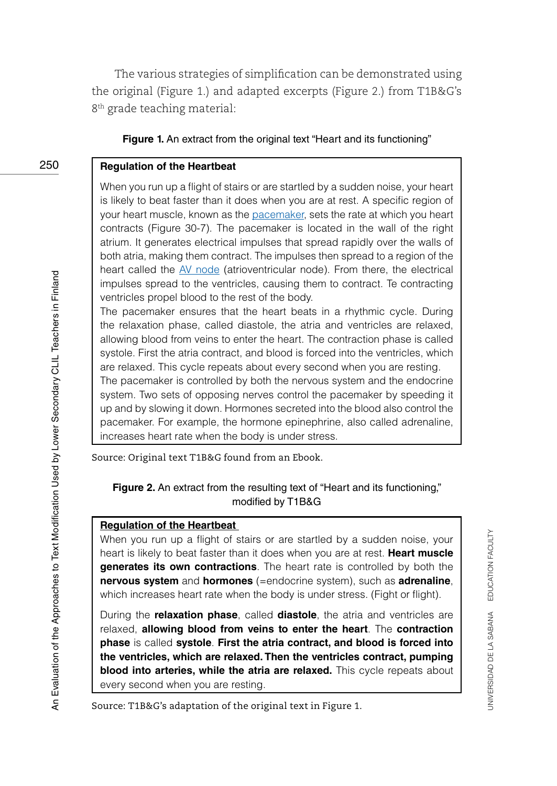The various strategies of simplification can be demonstrated using the original (Figure 1.) and adapted excerpts (Figure 2.) from T1B&G's 8<sup>th</sup> grade teaching material:

#### **Figure 1.** An extract from the original text "Heart and its functioning"

#### **Regulation of the Heartbeat**

When you run up a flight of stairs or are startled by a sudden noise, your heart is likely to beat faster than it does when you are at rest. A specific region of your heart muscle, known as the pacemaker, sets the rate at which you heart contracts (Figure 30-7). The pacemaker is located in the wall of the right atrium. It generates electrical impulses that spread rapidly over the walls of both atria, making them contract. The impulses then spread to a region of the heart called the AV node (atrioventricular node). From there, the electrical impulses spread to the ventricles, causing them to contract. Te contracting ventricles propel blood to the rest of the body.

The pacemaker ensures that the heart beats in a rhythmic cycle. During the relaxation phase, called diastole, the atria and ventricles are relaxed, allowing blood from veins to enter the heart. The contraction phase is called systole. First the atria contract, and blood is forced into the ventricles, which are relaxed. This cycle repeats about every second when you are resting.

The pacemaker is controlled by both the nervous system and the endocrine system. Two sets of opposing nerves control the pacemaker by speeding it up and by slowing it down. Hormones secreted into the blood also control the pacemaker. For example, the hormone epinephrine, also called adrenaline, increases heart rate when the body is under stress.

Source: Original text T1B&G found from an Ebook.

### **Figure 2.** An extract from the resulting text of "Heart and its functioning," modified by T1B&G

### **Regulation of the Heartbeat**

When you run up a flight of stairs or are startled by a sudden noise, your heart is likely to beat faster than it does when you are at rest. **Heart muscle generates its own contractions**. The heart rate is controlled by both the **nervous system** and **hormones** (=endocrine system), such as **adrenaline**, which increases heart rate when the body is under stress. (Fight or flight).

During the **relaxation phase**, called **diastole**, the atria and ventricles are relaxed, **allowing blood from veins to enter the heart**. The **contraction phase** is called **systole**. **First the atria contract, and blood is forced into the ventricles, which are relaxed. Then the ventricles contract, pumping blood into arteries, while the atria are relaxed.** This cycle repeats about every second when you are resting.

Source: T1B&G's adaptation of the original text in Figure 1.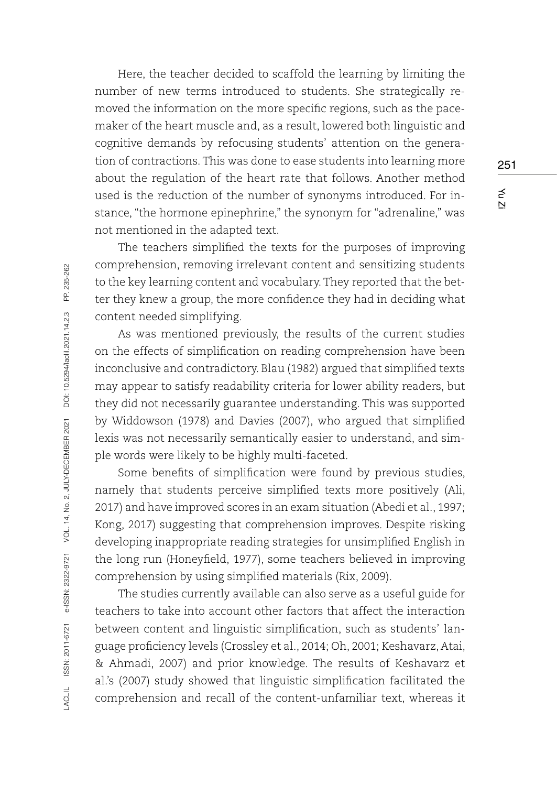Here, the teacher decided to scaffold the learning by limiting the number of new terms introduced to students. She strategically removed the information on the more specific regions, such as the pacemaker of the heart muscle and, as a result, lowered both linguistic and cognitive demands by refocusing students' attention on the generation of contractions. This was done to ease students into learning more about the regulation of the heart rate that follows. Another method used is the reduction of the number of synonyms introduced. For instance, "the hormone epinephrine," the synonym for "adrenaline," was not mentioned in the adapted text.

The teachers simplified the texts for the purposes of improving comprehension, removing irrelevant content and sensitizing students to the key learning content and vocabulary. They reported that the better they knew a group, the more confidence they had in deciding what content needed simplifying.

As was mentioned previously, the results of the current studies on the effects of simplification on reading comprehension have been inconclusive and contradictory. Blau (1982) argued that simplified texts may appear to satisfy readability criteria for lower ability readers, but they did not necessarily guarantee understanding. This was supported by Widdowson (1978) and Davies (2007), who argued that simplified lexis was not necessarily semantically easier to understand, and simple words were likely to be highly multi-faceted.

Some benefits of simplification were found by previous studies, namely that students perceive simplified texts more positively (Ali, 2017) and have improved scores in an exam situation (Abedi et al., 1997; Kong, 2017) suggesting that comprehension improves. Despite risking developing inappropriate reading strategies for unsimplified English in the long run (Honeyfield, 1977), some teachers believed in improving comprehension by using simplified materials (Rix, 2009).

The studies currently available can also serve as a useful guide for teachers to take into account other factors that affect the interaction between content and linguistic simplification, such as students' language proficiency levels (Crossley et al., 2014; Oh, 2001; Keshavarz, Atai, & Ahmadi, 2007) and prior knowledge. The results of Keshavarz et al.'s (2007) study showed that linguistic simplification facilitated the comprehension and recall of the content-unfamiliar text, whereas it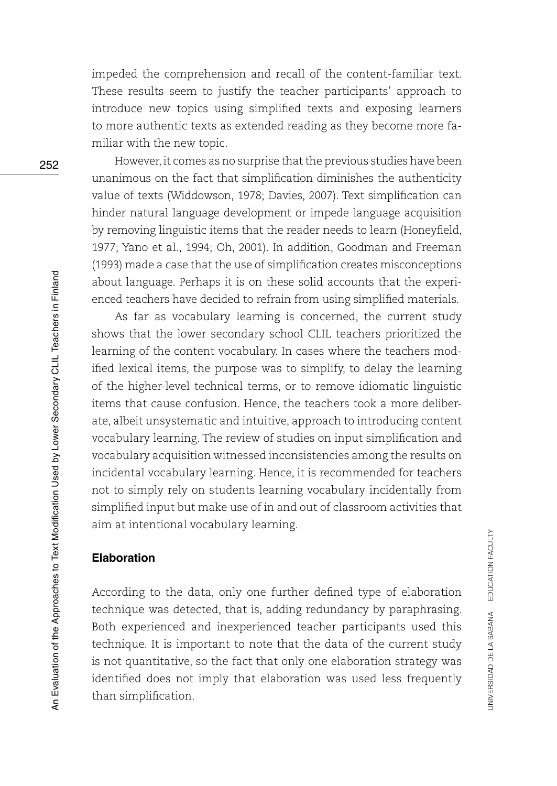impeded the comprehension and recall of the content-familiar text. These results seem to justify the teacher participants' approach to introduce new topics using simplified texts and exposing learners to more authentic texts as extended reading as they become more familiar with the new topic.

However, it comes as no surprise that the previous studies have been unanimous on the fact that simplification diminishes the authenticity value of texts (Widdowson, 1978; Davies, 2007). Text simplification can hinder natural language development or impede language acquisition by removing linguistic items that the reader needs to learn (Honeyfield, 1977; Yano et al., 1994; Oh, 2001). In addition, Goodman and Freeman (1993) made a case that the use of simplification creates misconceptions about language. Perhaps it is on these solid accounts that the experienced teachers have decided to refrain from using simplified materials.

As far as vocabulary learning is concerned, the current study shows that the lower secondary school CLIL teachers prioritized the learning of the content vocabulary. In cases where the teachers modified lexical items, the purpose was to simplify, to delay the learning of the higher-level technical terms, or to remove idiomatic linguistic items that cause confusion. Hence, the teachers took a more deliberate, albeit unsystematic and intuitive, approach to introducing content vocabulary learning. The review of studies on input simplification and vocabulary acquisition witnessed inconsistencies among the results on incidental vocabulary learning. Hence, it is recommended for teachers not to simply rely on students learning vocabulary incidentally from simplified input but make use of in and out of classroom activities that aim at intentional vocabulary learning.

## **Elaboration**

According to the data, only one further defined type of elaboration technique was detected, that is, adding redundancy by paraphrasing. Both experienced and inexperienced teacher participants used this technique. It is important to note that the data of the current study is not quantitative, so the fact that only one elaboration strategy was identified does not imply that elaboration was used less frequently than simplification.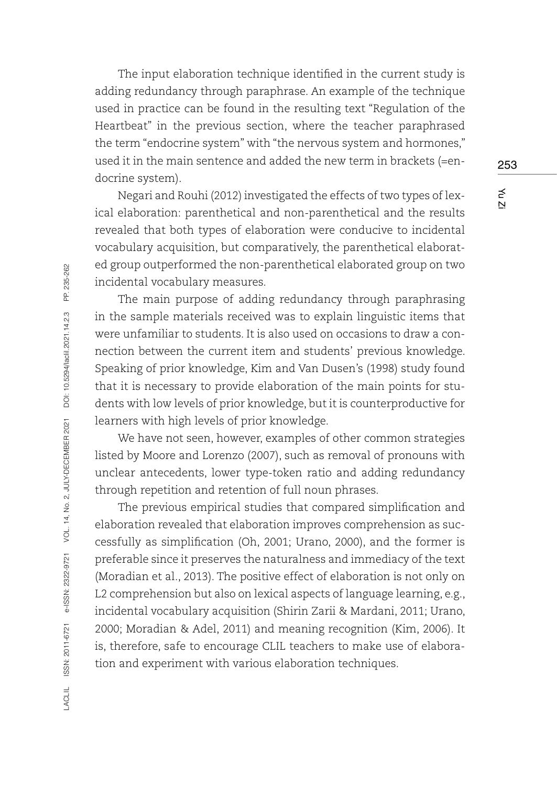The input elaboration technique identified in the current study is adding redundancy through paraphrase. An example of the technique used in practice can be found in the resulting text "Regulation of the Heartbeat" in the previous section, where the teacher paraphrased the term "endocrine system" with "the nervous system and hormones," used it in the main sentence and added the new term in brackets (=endocrine system).

Negari and Rouhi (2012) investigated the effects of two types of lexical elaboration: parenthetical and non-parenthetical and the results revealed that both types of elaboration were conducive to incidental vocabulary acquisition, but comparatively, the parenthetical elaborated group outperformed the non-parenthetical elaborated group on two incidental vocabulary measures.

The main purpose of adding redundancy through paraphrasing in the sample materials received was to explain linguistic items that were unfamiliar to students. It is also used on occasions to draw a connection between the current item and students' previous knowledge. Speaking of prior knowledge, Kim and Van Dusen's (1998) study found that it is necessary to provide elaboration of the main points for students with low levels of prior knowledge, but it is counterproductive for learners with high levels of prior knowledge.

We have not seen, however, examples of other common strategies listed by Moore and Lorenzo (2007), such as removal of pronouns with unclear antecedents, lower type-token ratio and adding redundancy through repetition and retention of full noun phrases.

The previous empirical studies that compared simplification and elaboration revealed that elaboration improves comprehension as successfully as simplification (Oh, 2001; Urano, 2000), and the former is preferable since it preserves the naturalness and immediacy of the text (Moradian et al., 2013). The positive effect of elaboration is not only on L2 comprehension but also on lexical aspects of language learning, e.g., incidental vocabulary acquisition (Shirin Zarii & Mardani, 2011; Urano, 2000; Moradian & Adel, 2011) and meaning recognition (Kim, 2006). It is, therefore, safe to encourage CLIL teachers to make use of elaboration and experiment with various elaboration techniques.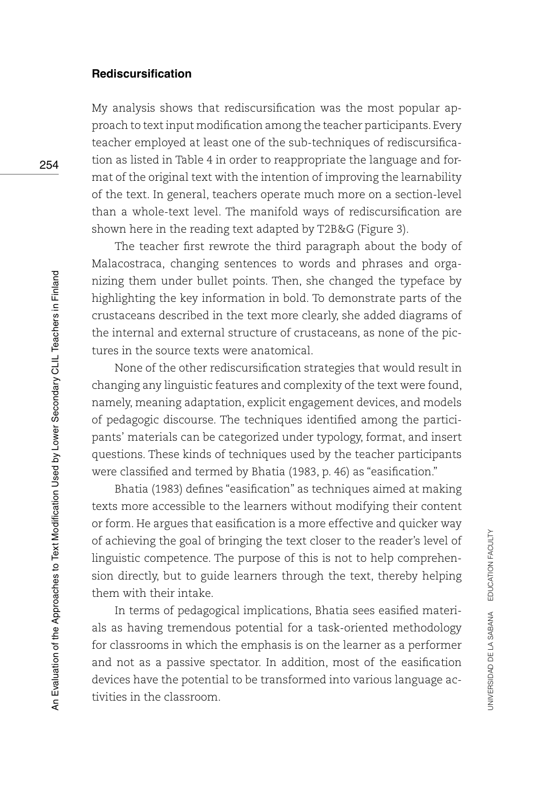### **Rediscursification**

My analysis shows that rediscursification was the most popular approach to text input modification among the teacher participants. Every teacher employed at least one of the sub-techniques of rediscursification as listed in Table 4 in order to reappropriate the language and format of the original text with the intention of improving the learnability of the text. In general, teachers operate much more on a section-level than a whole-text level. The manifold ways of rediscursification are shown here in the reading text adapted by T2B&G (Figure 3).

The teacher first rewrote the third paragraph about the body of Malacostraca, changing sentences to words and phrases and organizing them under bullet points. Then, she changed the typeface by highlighting the key information in bold. To demonstrate parts of the crustaceans described in the text more clearly, she added diagrams of the internal and external structure of crustaceans, as none of the pictures in the source texts were anatomical.

None of the other rediscursification strategies that would result in changing any linguistic features and complexity of the text were found, namely, meaning adaptation, explicit engagement devices, and models of pedagogic discourse. The techniques identified among the participants' materials can be categorized under typology, format, and insert questions. These kinds of techniques used by the teacher participants were classified and termed by Bhatia (1983, p. 46) as "easification."

Bhatia (1983) defines "easification" as techniques aimed at making texts more accessible to the learners without modifying their content or form. He argues that easification is a more effective and quicker way of achieving the goal of bringing the text closer to the reader's level of linguistic competence. The purpose of this is not to help comprehension directly, but to guide learners through the text, thereby helping them with their intake.

In terms of pedagogical implications, Bhatia sees easified materials as having tremendous potential for a task-oriented methodology for classrooms in which the emphasis is on the learner as a performer and not as a passive spectator. In addition, most of the easification devices have the potential to be transformed into various language activities in the classroom.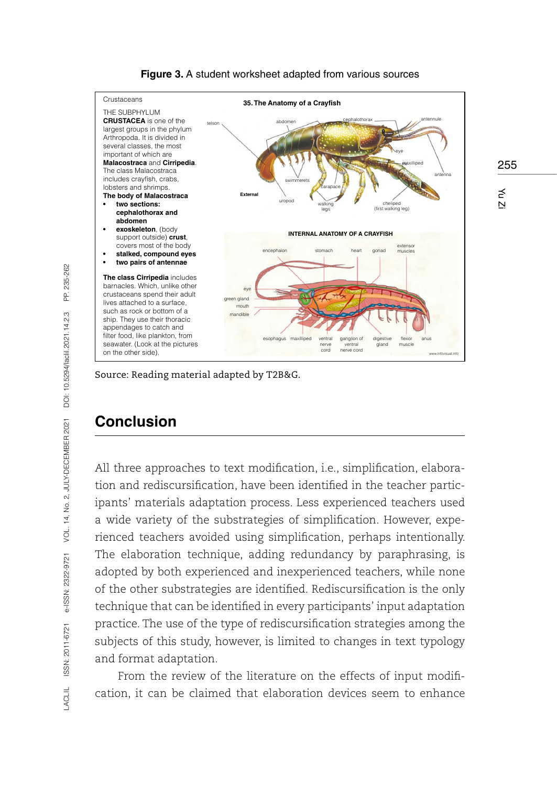

255

Yu Zi

#### **Figure 3.** A student worksheet adapted from various sources

Source: Reading material adapted by T2B&G.

## **Conclusion**

All three approaches to text modification, i.e., simplification, elaboration and rediscursification, have been identified in the teacher participants' materials adaptation process. Less experienced teachers used a wide variety of the substrategies of simplification. However, experienced teachers avoided using simplification, perhaps intentionally. The elaboration technique, adding redundancy by paraphrasing, is adopted by both experienced and inexperienced teachers, while none of the other substrategies are identified. Rediscursification is the only technique that can be identified in every participants' input adaptation practice. The use of the type of rediscursification strategies among the subjects of this study, however, is limited to changes in text typology and format adaptation.

From the review of the literature on the effects of input modification, it can be claimed that elaboration devices seem to enhance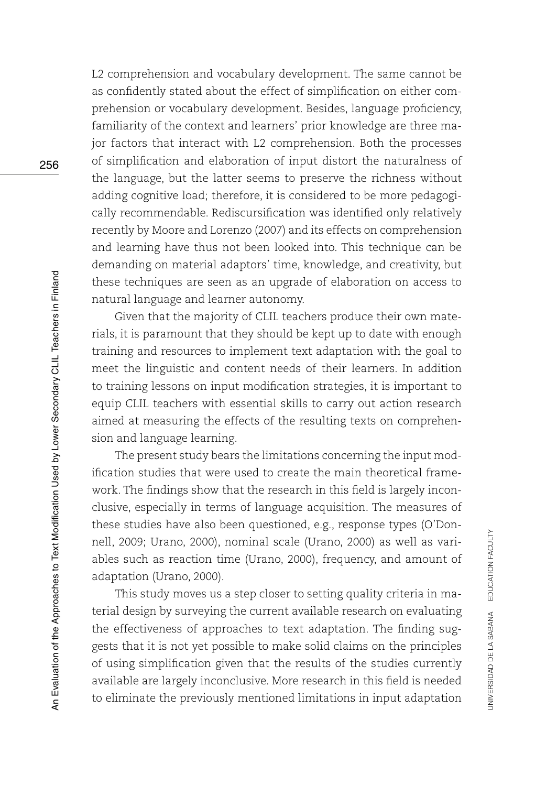L2 comprehension and vocabulary development. The same cannot be as confidently stated about the effect of simplification on either comprehension or vocabulary development. Besides, language proficiency, familiarity of the context and learners' prior knowledge are three major factors that interact with L2 comprehension. Both the processes of simplification and elaboration of input distort the naturalness of the language, but the latter seems to preserve the richness without adding cognitive load; therefore, it is considered to be more pedagogically recommendable. Rediscursification was identified only relatively recently by Moore and Lorenzo (2007) and its effects on comprehension and learning have thus not been looked into. This technique can be demanding on material adaptors' time, knowledge, and creativity, but these techniques are seen as an upgrade of elaboration on access to natural language and learner autonomy.

Given that the majority of CLIL teachers produce their own materials, it is paramount that they should be kept up to date with enough training and resources to implement text adaptation with the goal to meet the linguistic and content needs of their learners. In addition to training lessons on input modification strategies, it is important to equip CLIL teachers with essential skills to carry out action research aimed at measuring the effects of the resulting texts on comprehension and language learning.

The present study bears the limitations concerning the input modification studies that were used to create the main theoretical framework. The findings show that the research in this field is largely inconclusive, especially in terms of language acquisition. The measures of these studies have also been questioned, e.g., response types (O'Donnell, 2009; Urano, 2000), nominal scale (Urano, 2000) as well as variables such as reaction time (Urano, 2000), frequency, and amount of adaptation (Urano, 2000).

This study moves us a step closer to setting quality criteria in material design by surveying the current available research on evaluating the effectiveness of approaches to text adaptation. The finding suggests that it is not yet possible to make solid claims on the principles of using simplification given that the results of the studies currently available are largely inconclusive. More research in this field is needed to eliminate the previously mentioned limitations in input adaptation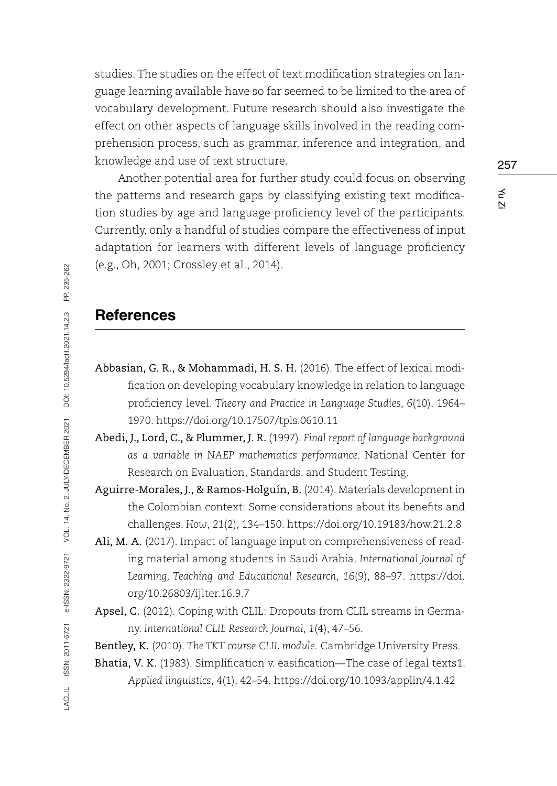studies. The studies on the effect of text modification strategies on language learning available have so far seemed to be limited to the area of vocabulary development. Future research should also investigate the effect on other aspects of language skills involved in the reading comprehension process, such as grammar, inference and integration, and knowledge and use of text structure.

Another potential area for further study could focus on observing the patterns and research gaps by classifying existing text modification studies by age and language proficiency level of the participants. Currently, only a handful of studies compare the effectiveness of input adaptation for learners with different levels of language proficiency (e.g., Oh, 2001; Crossley et al., 2014).

## **References**

- Abbasian, G. R., & Mohammadi, H. S. H. (2016). The effect of lexical modification on developing vocabulary knowledge in relation to language proficiency level. *Theory and Practice in Language Studies, 6*(10), 1964– 1970.<https://doi.org/10.17507/tpls.0610.11>
- Abedi, J., Lord, C., & Plummer, J. R. (1997). *Final report of language background as a variable in NAEP mathematics performance*. National Center for Research on Evaluation, Standards, and Student Testing.
- Aguirre-Morales, J., & Ramos-Holguín, B. (2014). Materials development in the Colombian context: Some considerations about its benefits and challenges. *How*, *21*(2), 134–150.<https://doi.org/10.19183/how.21.2.8>
- Ali, M. A. (2017). Impact of language input on comprehensiveness of reading material among students in Saudi Arabia. *International Journal of Learning, Teaching and Educational Research*, *16*(9), 88–97. [https://doi.](https://doi.org/10.26803/ijlter.16.9.7) [org/10.26803/ijlter.16.9.7](https://doi.org/10.26803/ijlter.16.9.7)

Apsel, C. (2012). Coping with CLIL: Dropouts from CLIL streams in Germany. *International CLIL Research Journal*, *1*(4), 47–56.

Bentley, K. (2010). *The TKT course CLIL module.* Cambridge University Press.

Bhatia, V. K. (1983). Simplification v. easification—The case of legal texts1. *Applied linguistics*, *4*(1), 42–54. <https://doi.org/10.1093/applin/4.1.42>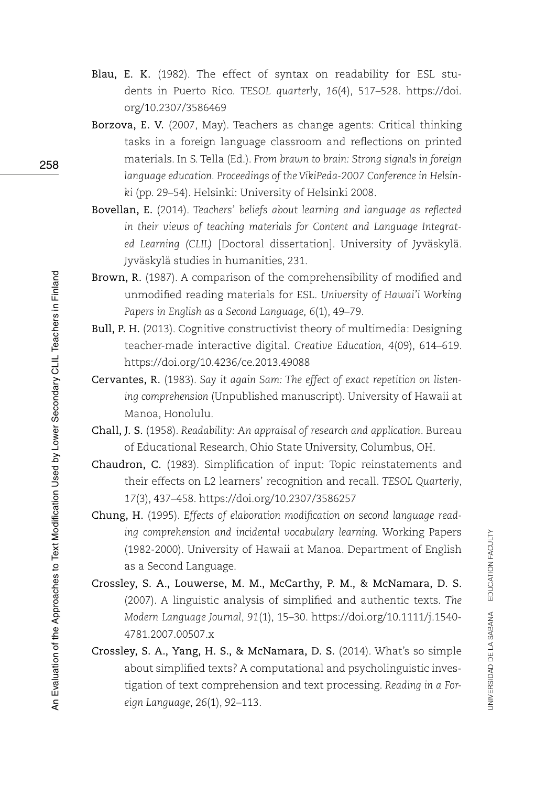- Blau, E. K. (1982). The effect of syntax on readability for ESL students in Puerto Rico. *TESOL quarterly*, *16*(4), 517–528. [https://doi.](https://doi.org/10.2307/3586469) [org/10.2307/3586469](https://doi.org/10.2307/3586469)
- Borzova, E. V. (2007, May). Teachers as change agents: Critical thinking tasks in a foreign language classroom and reflections on printed materials. In S. Tella (Ed.). *From brawn to brain: Strong signals in foreign language education. Proceedings of the VikiPeda-2007 Conference in Helsinki* (pp. 29–54). Helsinki: University of Helsinki 2008.
- Bovellan, E. (2014). *Teachers' beliefs about learning and language as reflected in their views of teaching materials for Content and Language Integrated Learning (CLIL)* [Doctoral dissertation]. University of Jyväskylä. Jyväskylä studies in humanities, 231.
- Brown, R. (1987). A comparison of the comprehensibility of modified and unmodified reading materials for ESL. *University of Hawai'i Working Papers in English as a Second Language, 6*(1), 49–79.
- Bull, P. H. (2013). Cognitive constructivist theory of multimedia: Designing teacher-made interactive digital. *Creative Education*, *4*(09), 614–619. <https://doi.org/10.4236/ce.2013.49088>
- Cervantes, R. (1983). *Say it again Sam: The effect of exact repetition on listening comprehension* (Unpublished manuscript). University of Hawaii at Manoa, Honolulu.
- Chall, J. S. (1958). *Readability: An appraisal of research and application*. Bureau of Educational Research, Ohio State University, Columbus, OH.
- Chaudron, C. (1983). Simplification of input: Topic reinstatements and their effects on L2 learners' recognition and recall. *TESOL Quarterly*, *17*(3), 437–458.<https://doi.org/10.2307/3586257>
- Chung, H. (1995). *Effects of elaboration modification on second language reading comprehension and incidental vocabulary learning.* Working Papers (1982-2000). University of Hawaii at Manoa. Department of English as a Second Language.
- Crossley, S. A., Louwerse, M. M., McCarthy, P. M., & McNamara, D. S. (2007). A linguistic analysis of simplified and authentic texts. *The Modern Language Journal*, *91*(1), 15–30. [https://doi.org/10.1111/j.1540-](https://doi.org/10.1111/j.1540-4781.2007.00507.x) [4781.2007.00507.x](https://doi.org/10.1111/j.1540-4781.2007.00507.x)
- Crossley, S. A., Yang, H. S., & McNamara, D. S. (2014). What's so simple about simplified texts? A computational and psycholinguistic investigation of text comprehension and text processing. *Reading in a Foreign Language*, *26*(1), 92–113.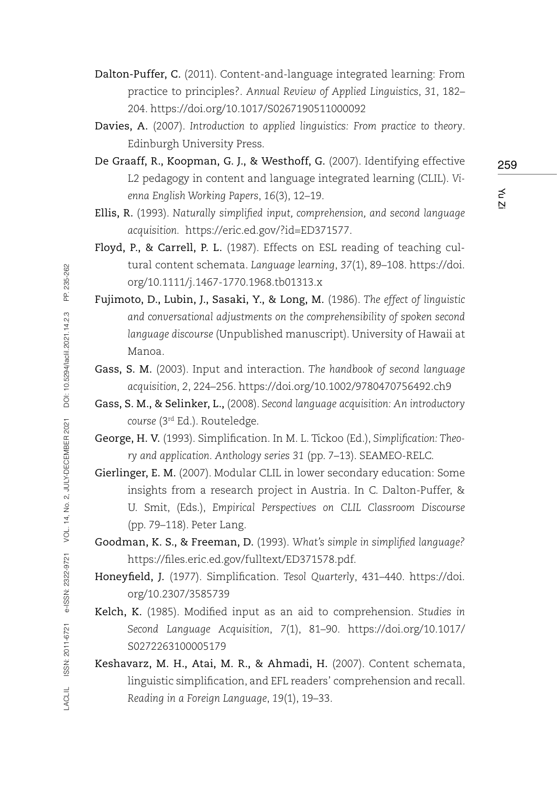- Dalton-Puffer, C. (2011). Content-and-language integrated learning: From practice to principles?. *Annual Review of Applied Linguistics*, *31*, 182– 204.<https://doi.org/10.1017/S0267190511000092>
- Davies, A. (2007). *Introduction to applied linguistics: From practice to theory*. Edinburgh University Press.
- De Graaff, R., Koopman, G. J., & Westhoff, G. (2007). Identifying effective L2 pedagogy in content and language integrated learning (CLIL). *Vienna English Working Papers*, *16*(3), 12–19.
- Ellis, R. (1993). *Naturally simplified input, comprehension, and second language acquisition.* <https://eric.ed.gov/?id=ED371577>.
- Floyd, P., & Carrell, P. L. (1987). Effects on ESL reading of teaching cultural content schemata. *Language learning*, *37*(1), 89–108. [https://doi.](https://doi.org/10.1111/j.1467-1770.1968.tb01313.x) [org/10.1111/j.1467-1770.1968.tb01313.x](https://doi.org/10.1111/j.1467-1770.1968.tb01313.x)
- Fujimoto, D., Lubin, J., Sasaki, Y., & Long, M. (1986). *The effect of linguistic and conversational adjustments on the comprehensibility of spoken second language discourse* (Unpublished manuscript). University of Hawaii at Manoa.
- Gass, S. M. (2003). Input and interaction. *The handbook of second language acquisition*, *2*, 224–256. <https://doi.org/10.1002/9780470756492.ch9>
- Gass, S. M., & Selinker, L., (2008). *Second language acquisition: An introductory course* (3rd Ed.). Routeledge.
- George, H. V. (1993). Simplification. In M. L. Tickoo (Ed.), *Simplification: Theory and application*. *Anthology series 31* (pp. 7–13). SEAMEO-RELC.
- Gierlinger, E. M. (2007). Modular CLIL in lower secondary education: Some insights from a research project in Austria. In C. Dalton-Puffer, & U. Smit, (Eds.), *Empirical Perspectives on CLIL Classroom Discourse* (pp. 79–118). Peter Lang.
- Goodman, K. S., & Freeman, D. (1993). *What's simple in simplified language?*  https://files.eric.ed.gov/fulltext/ED371578.pdf.
- Honeyfield, J. (1977). Simplification. *Tesol Quarterly*, 431–440. [https://doi.](https://doi.org/10.2307/3585739) [org/10.2307/3585739](https://doi.org/10.2307/3585739)
- Kelch, K. (1985). Modified input as an aid to comprehension. *Studies in Second Language Acquisition*, *7*(1), 81–90. [https://doi.org/10.1017/](https://doi.org/10.1017/S0272263100005179) [S0272263100005179](https://doi.org/10.1017/S0272263100005179)
- Keshavarz, M. H., Atai, M. R., & Ahmadi, H. (2007). Content schemata, linguistic simplification, and EFL readers' comprehension and recall. *Reading in a Foreign Language*, *19*(1), 19–33.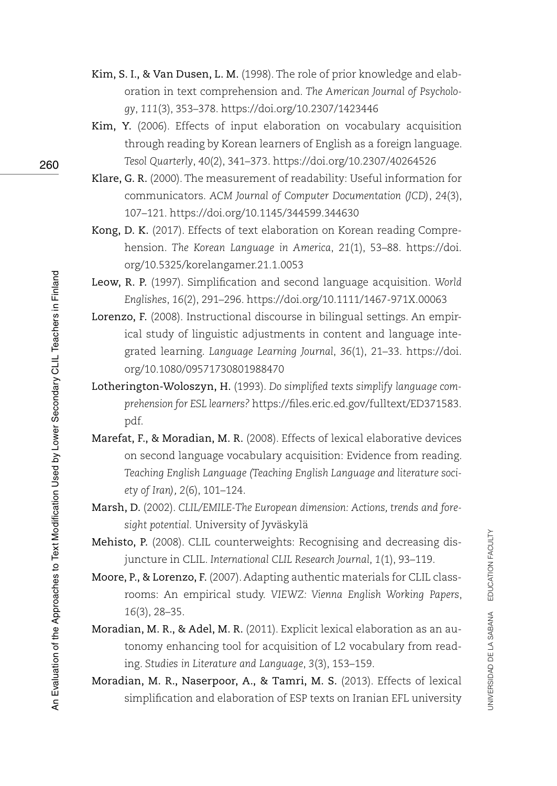- Kim, S. I., & Van Dusen, L. M. (1998). The role of prior knowledge and elaboration in text comprehension and. *The American Journal of Psychology*, *111*(3), 353–378.<https://doi.org/10.2307/1423446>
- Kim, Y. (2006). Effects of input elaboration on vocabulary acquisition through reading by Korean learners of English as a foreign language. *Tesol Quarterly*, *40*(2), 341–373.<https://doi.org/10.2307/40264526>
- Klare, G. R. (2000). The measurement of readability: Useful information for communicators. *ACM Journal of Computer Documentation (JCD)*, *24*(3), 107–121. <https://doi.org/10.1145/344599.344630>
- Kong, D. K. (2017). Effects of text elaboration on Korean reading Comprehension. *The Korean Language in America*, *21*(1), 53–88. [https://doi.](https://doi.org/10.5325/korelangamer.21.1.0053) [org/10.5325/korelangamer.21.1.0053](https://doi.org/10.5325/korelangamer.21.1.0053)
- Leow, R. P. (1997). Simplification and second language acquisition. *World Englishes*, *16*(2), 291–296. <https://doi.org/10.1111/1467-971X.00063>
- Lorenzo, F. (2008). Instructional discourse in bilingual settings. An empirical study of linguistic adjustments in content and language integrated learning. *Language Learning Journal*, *36*(1), 21–33. [https://doi.](https://doi.org/10.1080/09571730801988470) [org/10.1080/09571730801988470](https://doi.org/10.1080/09571730801988470)
- Lotherington-Woloszyn, H. (1993). *Do simplified texts simplify language comprehension for ESL learners?* [https://files.eric.ed.gov/fulltext/ED371583.](https://files.eric.ed.gov/fulltext/ED371583.pdf) [pdf.](https://files.eric.ed.gov/fulltext/ED371583.pdf)
- Marefat, F., & Moradian, M. R. (2008). Effects of lexical elaborative devices on second language vocabulary acquisition: Evidence from reading. *Teaching English Language (Teaching English Language and literature society of Iran), 2*(6), 101–124.
- Marsh, D. (2002). *CLIL/EMILE-The European dimension: Actions, trends and foresight potential.* University of Jyväskylä
- Mehisto, P. (2008). CLIL counterweights: Recognising and decreasing disjuncture in CLIL. *International CLIL Research Journal*, *1*(1), 93–119.
- Moore, P., & Lorenzo, F. (2007). Adapting authentic materials for CLIL classrooms: An empirical study. *VIEWZ: Vienna English Working Papers*, *16*(3), 28–35.
- Moradian, M. R., & Adel, M. R. (2011). Explicit lexical elaboration as an autonomy enhancing tool for acquisition of L2 vocabulary from reading. *Studies in Literature and Language*, *3*(3), 153–159.
- Moradian, M. R., Naserpoor, A., & Tamri, M. S. (2013). Effects of lexical simplification and elaboration of ESP texts on Iranian EFL university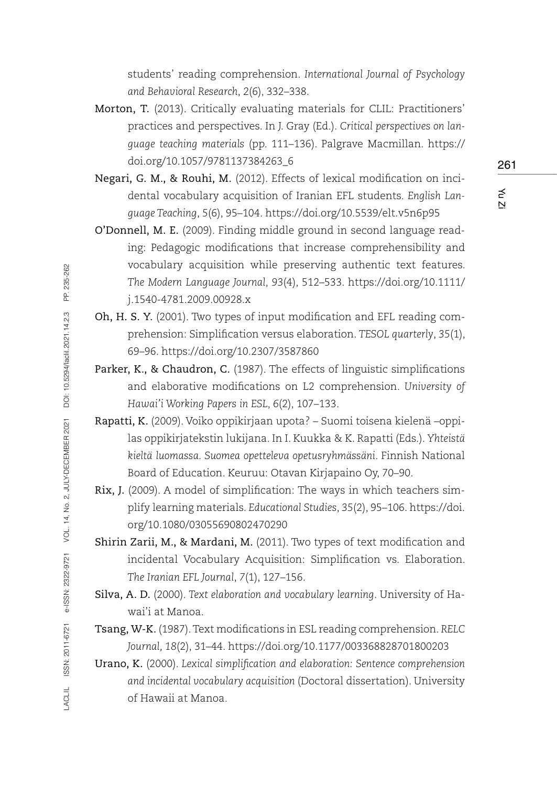students' reading comprehension. *International Journal of Psychology and Behavioral Research*, *2*(6), 332–338.

- Morton, T. (2013). Critically evaluating materials for CLIL: Practitioners' practices and perspectives. In J. Gray (Ed.). *Critical perspectives on language teaching materials* (pp. 111–136). Palgrave Macmillan. [https://](https://doi.org/10.1057/9781137384263_6) [doi.org/10.1057/9781137384263\\_6](https://doi.org/10.1057/9781137384263_6)
- Negari, G. M., & Rouhi, M. (2012). Effects of lexical modification on incidental vocabulary acquisition of Iranian EFL students. *English Language Teaching*, *5*(6), 95–104. <https://doi.org/10.5539/elt.v5n6p95>
- O'Donnell, M. E. (2009). Finding middle ground in second language reading: Pedagogic modifications that increase comprehensibility and vocabulary acquisition while preserving authentic text features. *The Modern Language Journal*, *93*(4), 512–533. [https://doi.org/10.1111/](https://doi.org/10.1111/j.1540-4781.2009.00928.x) [j.1540-4781.2009.00928.x](https://doi.org/10.1111/j.1540-4781.2009.00928.x)
- Oh, H. S. Y. (2001). Two types of input modification and EFL reading comprehension: Simplification versus elaboration. *TESOL quarterly*, *35*(1), 69–96. <https://doi.org/10.2307/3587860>
- Parker, K., & Chaudron, C. (1987). The effects of linguistic simplifications and elaborative modifications on L2 comprehension. *University of Hawai'i Working Papers in ESL*, *6*(2), 107–133.
- Rapatti, K. (2009). Voiko oppikirjaan upota? Suomi toisena kielenä –oppilas oppikirjatekstin lukijana. In I. Kuukka & K. Rapatti (Eds.). *Yhteistä kieltä luomassa. Suomea opetteleva opetusryhmässäni*. Finnish National Board of Education. Keuruu: Otavan Kirjapaino Oy, 70–90.
- Rix, J. (2009). A model of simplification: The ways in which teachers simplify learning materials. *Educational Studies*, *35*(2), 95–106. [https://doi.](https://doi.org/10.1080/03055690802470290) [org/10.1080/03055690802470290](https://doi.org/10.1080/03055690802470290)
- Shirin Zarii, M., & Mardani, M. (2011). Two types of text modification and incidental Vocabulary Acquisition: Simplification vs. Elaboration. *The Iranian EFL Journal*, *7*(1), 127–156.
- Silva, A. D. (2000). *Text elaboration and vocabulary learning*. University of Hawai'i at Manoa.
- Tsang, W-K. (1987). Text modifications in ESL reading comprehension. *RELC Journal, 18*(2), 31–44.<https://doi.org/10.1177/003368828701800203>
- Urano, K. (2000). *Lexical simplification and elaboration: Sentence comprehension and incidental vocabulary acquisition* (Doctoral dissertation). University of Hawaii at Manoa.